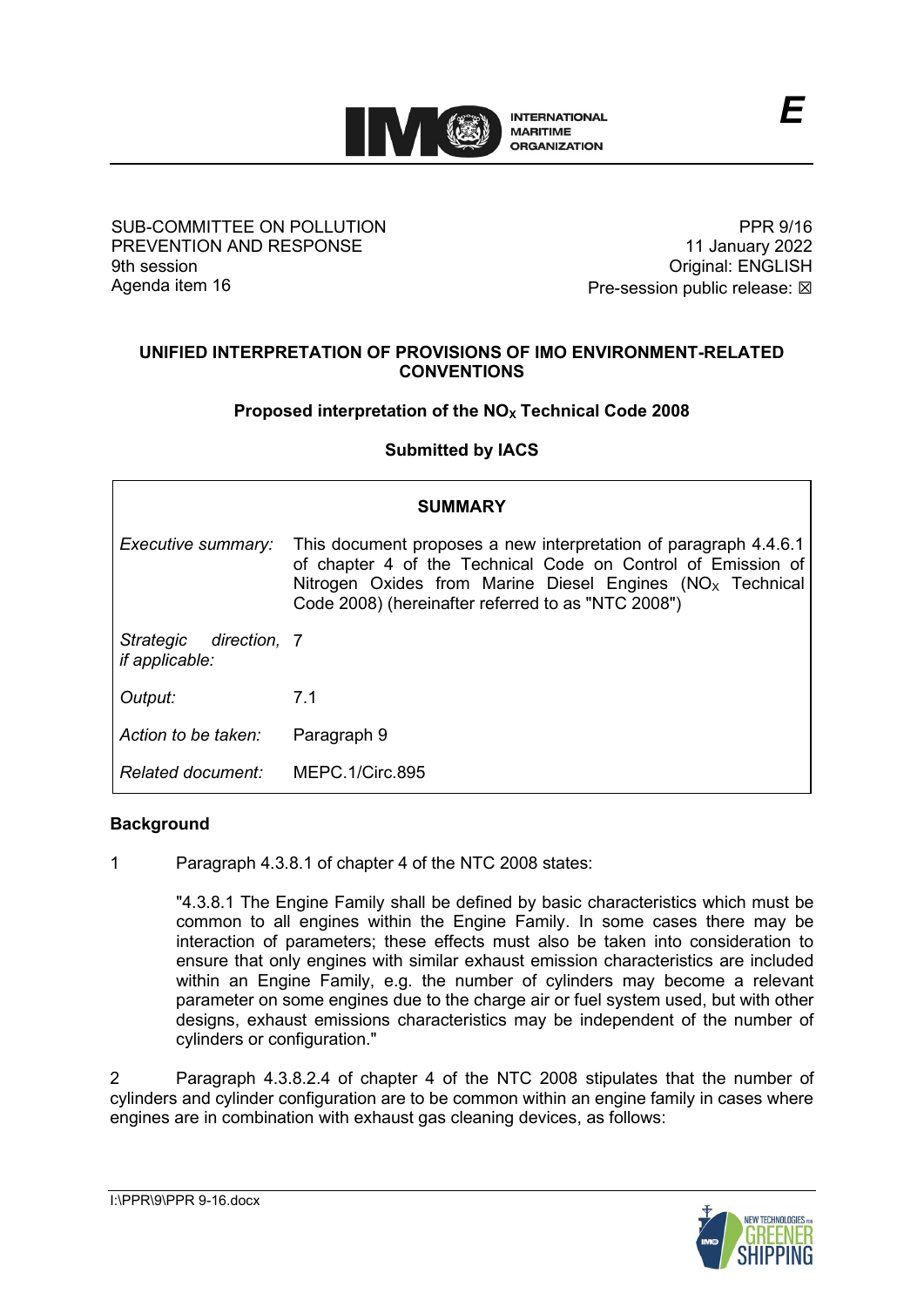

## SUB-COMMITTEE ON POLLUTION PREVENTION AND RESPONSE 9th session Agenda item 16

PPR 9/16 11 January 2022 Original: ENGLISH Pre-session public release:  $\boxtimes$ 

# **UNIFIED INTERPRETATION OF PROVISIONS OF IMO ENVIRONMENT-RELATED CONVENTIONS**

# **Proposed interpretation of the NO<sub>x</sub> Technical Code 2008**

# **Submitted by IACS**

| <b>SUMMARY</b>                           |                                                                                                                                                                                                                                                        |
|------------------------------------------|--------------------------------------------------------------------------------------------------------------------------------------------------------------------------------------------------------------------------------------------------------|
| Executive summary:                       | This document proposes a new interpretation of paragraph 4.4.6.1<br>of chapter 4 of the Technical Code on Control of Emission of<br>Nitrogen Oxides from Marine Diesel Engines ( $NOx$ Technical<br>Code 2008) (hereinafter referred to as "NTC 2008") |
| Strategic direction, 7<br>if applicable: |                                                                                                                                                                                                                                                        |
| Output:                                  | 7.1                                                                                                                                                                                                                                                    |
| Action to be taken:                      | Paragraph 9                                                                                                                                                                                                                                            |
| Related document:                        | MEPC.1/Circ.895                                                                                                                                                                                                                                        |

## **Background**

1 Paragraph 4.3.8.1 of chapter 4 of the NTC 2008 states:

"4.3.8.1 The Engine Family shall be defined by basic characteristics which must be common to all engines within the Engine Family. In some cases there may be interaction of parameters; these effects must also be taken into consideration to ensure that only engines with similar exhaust emission characteristics are included within an Engine Family, e.g. the number of cylinders may become a relevant parameter on some engines due to the charge air or fuel system used, but with other designs, exhaust emissions characteristics may be independent of the number of cylinders or configuration."

2 Paragraph 4.3.8.2.4 of chapter 4 of the NTC 2008 stipulates that the number of cylinders and cylinder configuration are to be common within an engine family in cases where engines are in combination with exhaust gas cleaning devices, as follows:

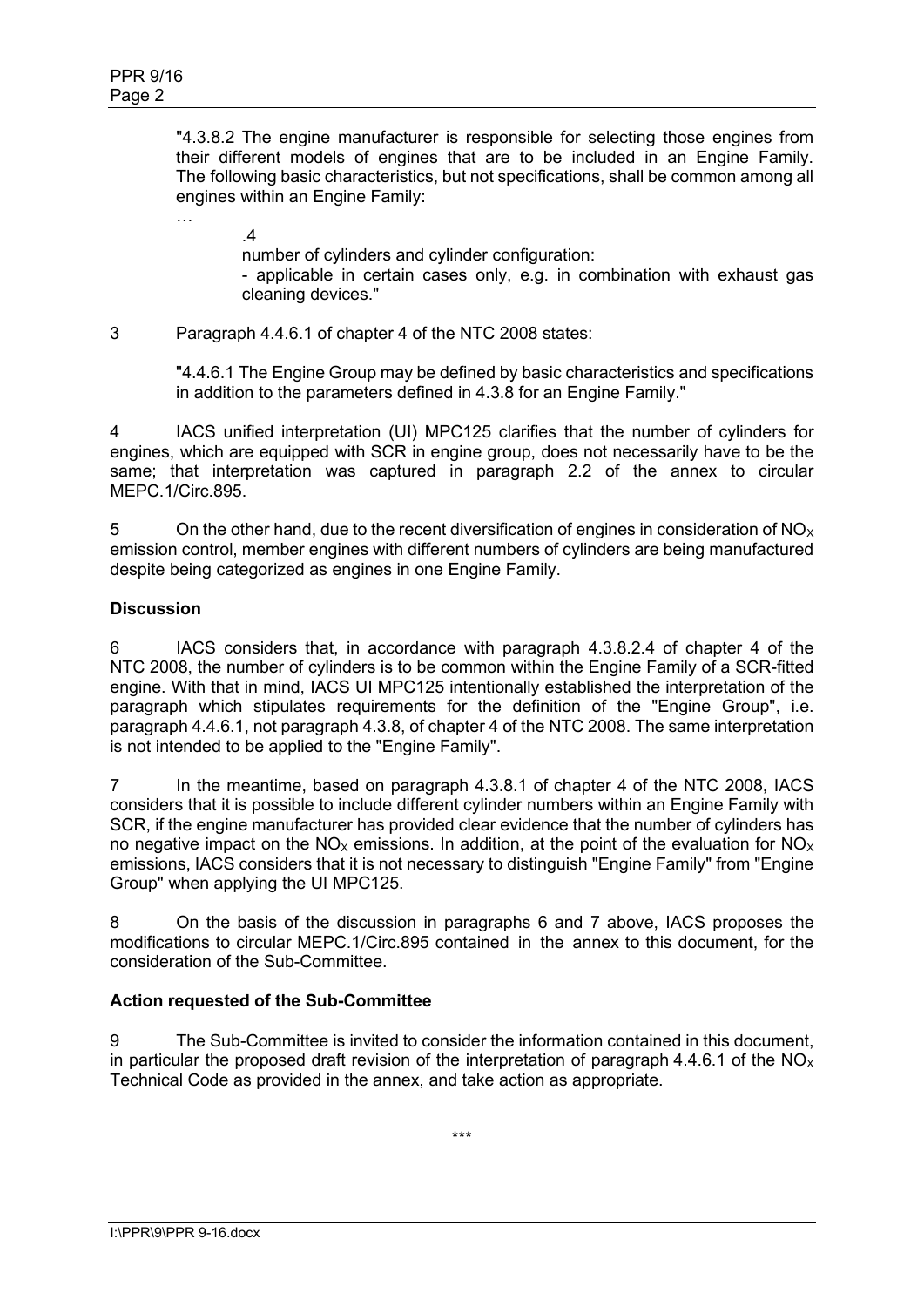"4.3.8.2 The engine manufacturer is responsible for selecting those engines from their different models of engines that are to be included in an Engine Family. The following basic characteristics, but not specifications, shall be common among all engines within an Engine Family:

.4

…

number of cylinders and cylinder configuration:

- applicable in certain cases only, e.g. in combination with exhaust gas cleaning devices."

3 Paragraph 4.4.6.1 of chapter 4 of the NTC 2008 states:

"4.4.6.1 The Engine Group may be defined by basic characteristics and specifications in addition to the parameters defined in 4.3.8 for an Engine Family."

4 IACS unified interpretation (UI) MPC125 clarifies that the number of cylinders for engines, which are equipped with SCR in engine group, does not necessarily have to be the same; that interpretation was captured in paragraph 2.2 of the annex to circular MEPC.1/Circ.895.

5 On the other hand, due to the recent diversification of engines in consideration of  $NO<sub>x</sub>$ emission control, member engines with different numbers of cylinders are being manufactured despite being categorized as engines in one Engine Family.

# **Discussion**

6 IACS considers that, in accordance with paragraph 4.3.8.2.4 of chapter 4 of the NTC 2008, the number of cylinders is to be common within the Engine Family of a SCR-fitted engine. With that in mind, IACS UI MPC125 intentionally established the interpretation of the paragraph which stipulates requirements for the definition of the "Engine Group", i.e. paragraph 4.4.6.1, not paragraph 4.3.8, of chapter 4 of the NTC 2008. The same interpretation is not intended to be applied to the "Engine Family".

7 In the meantime, based on paragraph 4.3.8.1 of chapter 4 of the NTC 2008, IACS considers that it is possible to include different cylinder numbers within an Engine Family with SCR, if the engine manufacturer has provided clear evidence that the number of cylinders has no negative impact on the NO<sub>x</sub> emissions. In addition, at the point of the evaluation for NO<sub>x</sub> emissions, IACS considers that it is not necessary to distinguish "Engine Family" from "Engine Group" when applying the UI MPC125.

8 On the basis of the discussion in paragraphs 6 and 7 above, IACS proposes the modifications to circular MEPC.1/Circ.895 contained in the annex to this document, for the consideration of the Sub-Committee.

# **Action requested of the Sub-Committee**

9 The Sub-Committee is invited to consider the information contained in this document, in particular the proposed draft revision of the interpretation of paragraph 4.4.6.1 of the  $NO<sub>X</sub>$ Technical Code as provided in the annex, and take action as appropriate.